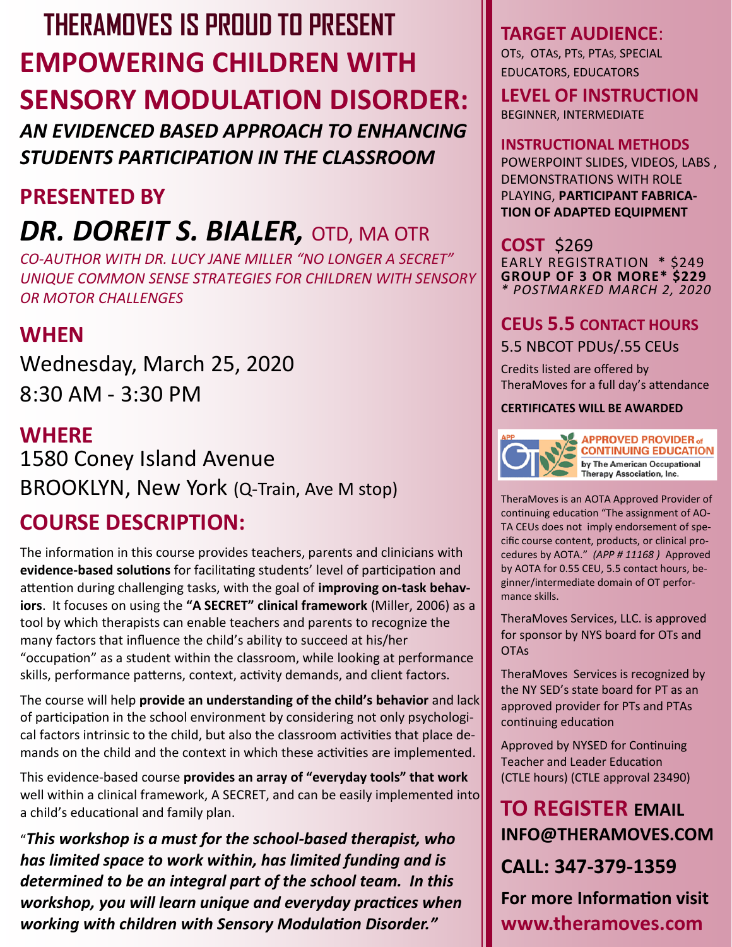# **EMPOWERING CHILDREN WITH SENSORY MODULATION DISORDER: THERAMOVES IS PROUD TO PRESENT**

*AN EVIDENCED BASED APPROACH TO ENHANCING STUDENTS PARTICIPATION IN THE CLASSROOM* 

# **PRESENTED BY**

# *DR. DOREIT S. BIALER,* OTD, MA OTR

*CO-AUTHOR WITH DR. LUCY JANE MILLER "NO LONGER A SECRET" [UNIQUE COMMON SENSE STRATEGIES FOR CHILDREN WITH SENSORY](https://www.amazon.com/No-Longer-SECRET-Strategies-Challenges/dp/1935567292/ref=sr_1_1?ie=UTF8&qid=1534295601&sr=8-1&keywords=of+no+longer+a+secret)  [OR MOTOR CHALLENGES](https://www.amazon.com/No-Longer-SECRET-Strategies-Challenges/dp/1935567292/ref=sr_1_1?ie=UTF8&qid=1534295601&sr=8-1&keywords=of+no+longer+a+secret)*

# **WHEN**

Wednesday, March 25, 2020 8:30 AM - 3:30 PM

# **WHERE** 1580 Coney Island Avenue BROOKLYN, New York (Q-Train, Ave M stop)

# **COURSE DESCRIPTION:**

The information in this course provides teachers, parents and clinicians with **evidence-based solutions** for facilitating students' level of participation and attention during challenging tasks, with the goal of **improving on-task behaviors**. It focuses on using the **"A SECRET" clinical framework** (Miller, 2006) as a tool by which therapists can enable teachers and parents to recognize the many factors that influence the child's ability to succeed at his/her "occupation" as a student within the classroom, while looking at performance skills, performance patterns, context, activity demands, and client factors.

The course will help **provide an understanding of the child's behavior** and lack of participation in the school environment by considering not only psychological factors intrinsic to the child, but also the classroom activities that place demands on the child and the context in which these activities are implemented.

This evidence-based course **provides an array of "everyday tools" that work**  well within a clinical framework, A SECRET, and can be easily implemented into a child's educational and family plan.

"*This workshop is a must for the school-based therapist, who has limited space to work within, has limited funding and is determined to be an integral part of the school team. In this workshop, you will learn unique and everyday practices when working with children with Sensory Modulation Disorder."* 

## **TARGET AUDIENCE**:

OTS, OTAS, PTS, PTAS, SPECIAL EDUCATORS, EDUCATORS

**LEVEL OF INSTRUCTION** BEGINNER, INTERMEDIATE

**INSTRUCTIONAL METHODS**  POWERPOINT SLIDES, VIDEOS, LABS , DEMONSTRATIONS WITH ROLE PLAYING, **PARTICIPANT FABRICA-TION OF ADAPTED EQUIPMENT**

**COST** \$269 EARLY REGISTRATION \* \$249 **GROUP OF 3 OR MORE\* \$229** *\* POSTMARKED MARCH 2, 2020*

# **CEUS 5.5 CONTACT HOURS**

5.5 NBCOT PDUs/.55 CEUs

Credits listed are offered by TheraMoves for a full day's attendance

#### **CERTIFICATES WILL BE AWARDED**



**APPROVED PROVIDER of CONTINUING EDUCATION** by The American Occupational Therapy Association, Inc.

TheraMoves is an AOTA Approved Provider of continuing education "The assignment of AO-TA CEUs does not imply endorsement of specific course content, products, or clinical procedures by AOTA." *(APP # 11168 )* Approved by AOTA for 0.55 CEU, 5.5 contact hours, beginner/intermediate domain of OT performance skills.

TheraMoves Services, LLC. is approved for sponsor by NYS board for OTs and **OTAs** 

TheraMoves Services is recognized by the NY SED's state board for PT as an approved provider for PTs and PTAs continuing education

Approved by NYSED for Continuing Teacher and Leader Education (CTLE hours) (CTLE approval 23490)

# **TO REGISTER EMAIL INFO@THERAMOVES.COM**

**CALL: 347-379-1359**

**For more Information visit www.theramoves.com**